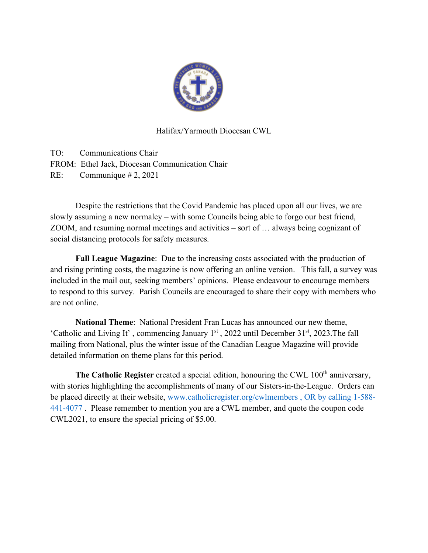

## Halifax/Yarmouth Diocesan CWL

TO: Communications Chair FROM: Ethel Jack, Diocesan Communication Chair RE: Communique # 2, 2021

Despite the restrictions that the Covid Pandemic has placed upon all our lives, we are slowly assuming a new normalcy – with some Councils being able to forgo our best friend, ZOOM, and resuming normal meetings and activities – sort of … always being cognizant of social distancing protocols for safety measures.

**Fall League Magazine**: Due to the increasing costs associated with the production of and rising printing costs, the magazine is now offering an online version. This fall, a survey was included in the mail out, seeking members' opinions. Please endeavour to encourage members to respond to this survey. Parish Councils are encouraged to share their copy with members who are not online.

**National Theme**: National President Fran Lucas has announced our new theme, 'Catholic and Living It', commencing January  $1<sup>st</sup>$ , 2022 until December 31 $<sup>st</sup>$ , 2023. The fall</sup> mailing from National, plus the winter issue of the Canadian League Magazine will provide detailed information on theme plans for this period.

The Catholic Register created a special edition, honouring the CWL 100<sup>th</sup> anniversary, with stories highlighting the accomplishments of many of our Sisters-in-the-League. Orders can be placed directly at their website, [www.catholicregister.org/cwlmembers , OR by calling 1-588-](http://www.catholicregister.org/cwlmembers%20,%20OR%20by%20calling%201-588-441-4077) [441-4077](http://www.catholicregister.org/cwlmembers%20,%20OR%20by%20calling%201-588-441-4077) . Please remember to mention you are a CWL member, and quote the coupon code CWL2021, to ensure the special pricing of \$5.00.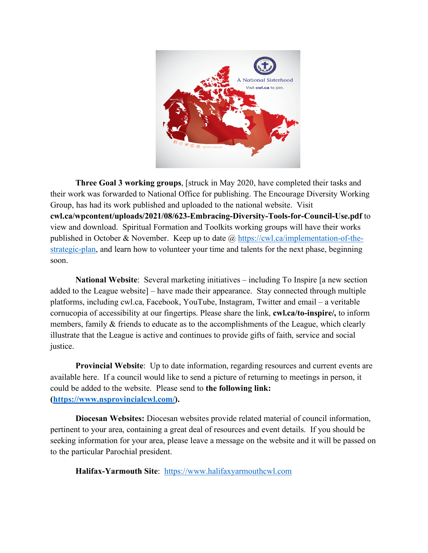

**Three Goal 3 working groups**, [struck in May 2020, have completed their tasks and their work was forwarded to National Office for publishing. The Encourage Diversity Working Group, has had its work published and uploaded to the national website. Visit **cwl.ca/wpcontent/uploads/2021/08/623-Embracing-Diversity-Tools-for-Council-Use.pdf** to view and download. Spiritual Formation and Toolkits working groups will have their works published in October & November. Keep up to date  $\omega$  [https://cwl.ca/implementation-of-the](https://cwl.ca/implementation-of-the-strategic-plan)[strategic-plan,](https://cwl.ca/implementation-of-the-strategic-plan) and learn how to volunteer your time and talents for the next phase, beginning soon.

**National Website**: Several marketing initiatives – including To Inspire [a new section added to the League website] – have made their appearance. Stay connected through multiple platforms, including cwl.ca, Facebook, YouTube, Instagram, Twitter and email – a veritable cornucopia of accessibility at our fingertips. Please share the link, **cwl.ca/to-inspire/,** to inform members, family & friends to educate as to the accomplishments of the League, which clearly illustrate that the League is active and continues to provide gifts of faith, service and social justice.

**Provincial Website**: Up to date information, regarding resources and current events are available here. If a council would like to send a picture of returning to meetings in person, it could be added to the website. Please send to **the following link: [\(https://www.nsprovincialcwl.com/\)](https://www.nsprovincialcwl.com/).**

**Diocesan Websites:** Diocesan websites provide related material of council information, pertinent to your area, containing a great deal of resources and event details. If you should be seeking information for your area, please leave a message on the website and it will be passed on to the particular Parochial president.

**Halifax-Yarmouth Site**: [https://www.halifaxyarmouthcwl.com](https://www.halifaxyarmouthcwl.com/)